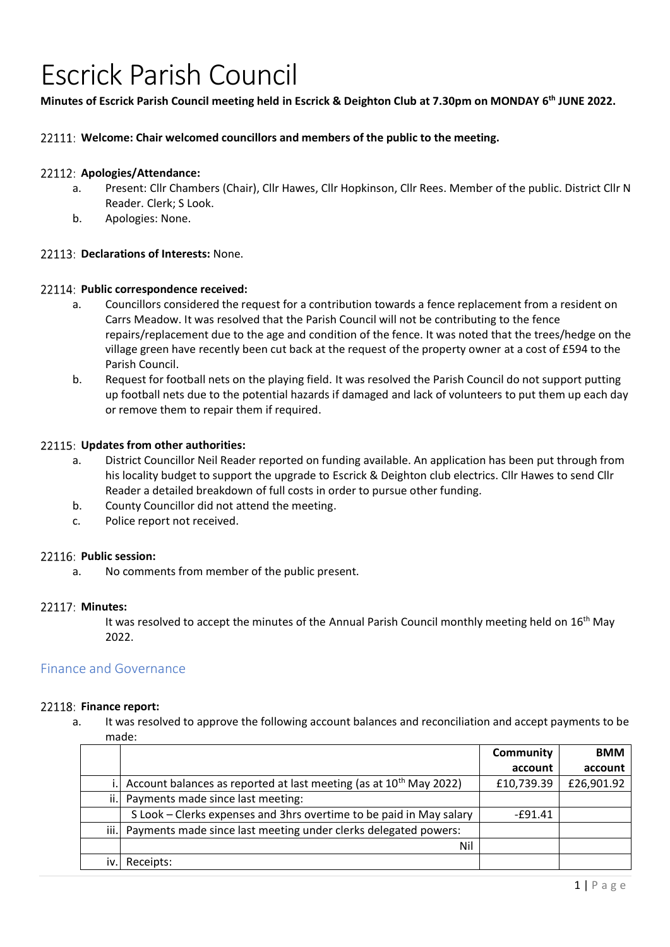# Escrick Parish Council

# **Minutes of Escrick Parish Council meeting held in Escrick & Deighton Club at 7.30pm on MONDAY 6 th JUNE 2022.**

# **Welcome: Chair welcomed councillors and members of the public to the meeting.**

# **Apologies/Attendance:**

- a. Present: Cllr Chambers (Chair), Cllr Hawes, Cllr Hopkinson, Cllr Rees. Member of the public. District Cllr N Reader. Clerk; S Look.
- b. Apologies: None.

# **Declarations of Interests:** None.

# **Public correspondence received:**

- a. Councillors considered the request for a contribution towards a fence replacement from a resident on Carrs Meadow. It was resolved that the Parish Council will not be contributing to the fence repairs/replacement due to the age and condition of the fence. It was noted that the trees/hedge on the village green have recently been cut back at the request of the property owner at a cost of £594 to the Parish Council.
- b. Request for football nets on the playing field. It was resolved the Parish Council do not support putting up football nets due to the potential hazards if damaged and lack of volunteers to put them up each day or remove them to repair them if required.

# **Updates from other authorities:**

- a. District Councillor Neil Reader reported on funding available. An application has been put through from his locality budget to support the upgrade to Escrick & Deighton club electrics. Cllr Hawes to send Cllr Reader a detailed breakdown of full costs in order to pursue other funding.
- b. County Councillor did not attend the meeting.
- c. Police report not received.

# **Public session:**

a. No comments from member of the public present.

# **Minutes:**

It was resolved to accept the minutes of the Annual Parish Council monthly meeting held on 16<sup>th</sup> May 2022.

# Finance and Governance

# 22118: Finance report:

a. It was resolved to approve the following account balances and reconciliation and accept payments to be made:

|      |                                                                                | Community  | <b>BMM</b> |
|------|--------------------------------------------------------------------------------|------------|------------|
|      |                                                                                | account    | account    |
|      | Account balances as reported at last meeting (as at 10 <sup>th</sup> May 2022) | £10,739.39 | £26,901.92 |
| ii.l | Payments made since last meeting:                                              |            |            |
|      | S Look – Clerks expenses and 3hrs overtime to be paid in May salary            | $-£91.41$  |            |
|      | iii. Payments made since last meeting under clerks delegated powers:           |            |            |
|      | Nil                                                                            |            |            |
|      | Receipts:                                                                      |            |            |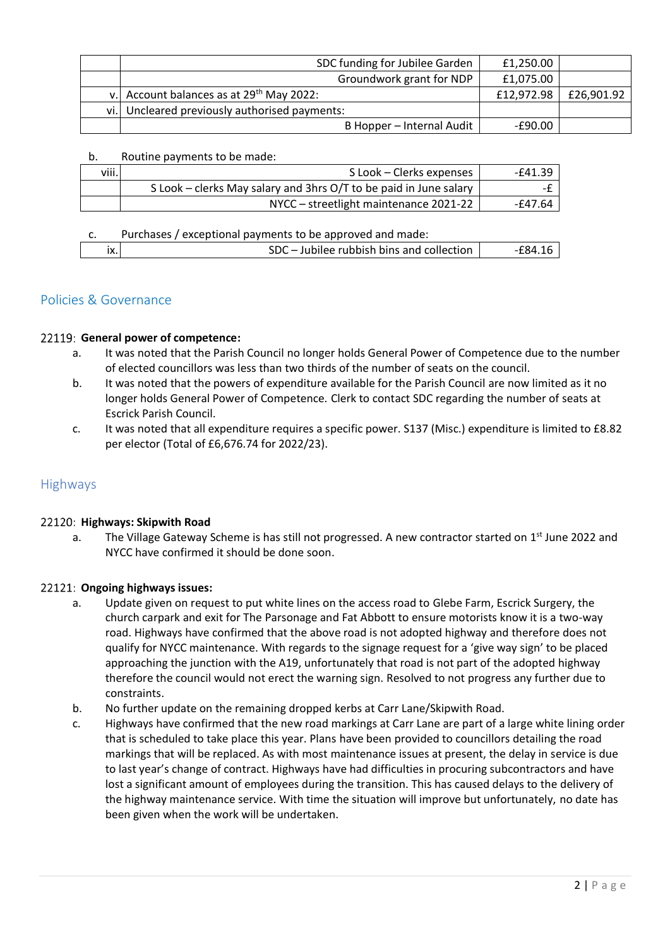| SDC funding for Jubilee Garden                | £1,250.00  |            |
|-----------------------------------------------|------------|------------|
| Groundwork grant for NDP                      | £1,075.00  |            |
| v. Account balances as at $29^{th}$ May 2022: | £12,972.98 | £26,901.92 |
| vi. Uncleared previously authorised payments: |            |            |
| B Hopper - Internal Audit                     | -£90.00    |            |

# b. Routine payments to be made:

| viii. | S Look – Clerks expenses                                          | -£41.39 |
|-------|-------------------------------------------------------------------|---------|
|       | S Look – clerks May salary and 3hrs O/T to be paid in June salary |         |
|       | NYCC - streetlight maintenance 2021-22                            | -£47.64 |

# c. Purchases / exceptional payments to be approved and made:

| Jubilee rubbish bins and collection<br>IX. |
|--------------------------------------------|
|--------------------------------------------|

# Policies & Governance

# 22119: General power of competence:

- a. It was noted that the Parish Council no longer holds General Power of Competence due to the number of elected councillors was less than two thirds of the number of seats on the council.
- b. It was noted that the powers of expenditure available for the Parish Council are now limited as it no longer holds General Power of Competence. Clerk to contact SDC regarding the number of seats at Escrick Parish Council.
- c. It was noted that all expenditure requires a specific power. S137 (Misc.) expenditure is limited to £8.82 per elector (Total of £6,676.74 for 2022/23).

# Highways

# 22120: Highways: Skipwith Road

a. The Village Gateway Scheme is has still not progressed. A new contractor started on 1<sup>st</sup> June 2022 and NYCC have confirmed it should be done soon.

# **Ongoing highways issues:**

- a. Update given on request to put white lines on the access road to Glebe Farm, Escrick Surgery, the church carpark and exit for The Parsonage and Fat Abbott to ensure motorists know it is a two-way road. Highways have confirmed that the above road is not adopted highway and therefore does not qualify for NYCC maintenance. With regards to the signage request for a 'give way sign' to be placed approaching the junction with the A19, unfortunately that road is not part of the adopted highway therefore the council would not erect the warning sign. Resolved to not progress any further due to constraints.
- b. No further update on the remaining dropped kerbs at Carr Lane/Skipwith Road.
- c. Highways have confirmed that the new road markings at Carr Lane are part of a large white lining order that is scheduled to take place this year. Plans have been provided to councillors detailing the road markings that will be replaced. As with most maintenance issues at present, the delay in service is due to last year's change of contract. Highways have had difficulties in procuring subcontractors and have lost a significant amount of employees during the transition. This has caused delays to the delivery of the highway maintenance service. With time the situation will improve but unfortunately, no date has been given when the work will be undertaken.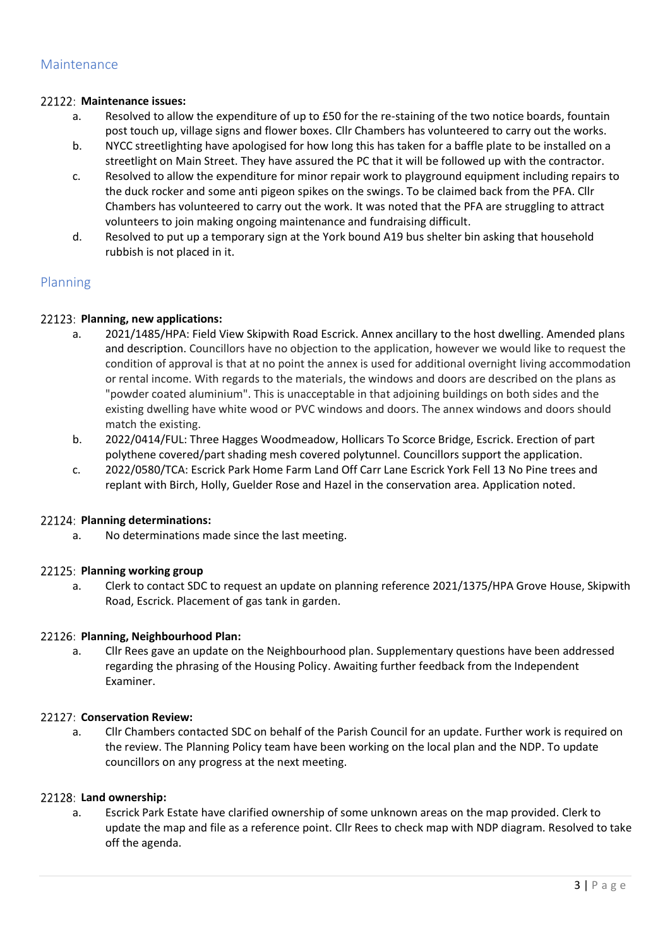# **Maintenance issues:**

- a. Resolved to allow the expenditure of up to £50 for the re-staining of the two notice boards, fountain post touch up, village signs and flower boxes. Cllr Chambers has volunteered to carry out the works.
- b. NYCC streetlighting have apologised for how long this has taken for a baffle plate to be installed on a streetlight on Main Street. They have assured the PC that it will be followed up with the contractor.
- c. Resolved to allow the expenditure for minor repair work to playground equipment including repairs to the duck rocker and some anti pigeon spikes on the swings. To be claimed back from the PFA. Cllr Chambers has volunteered to carry out the work. It was noted that the PFA are struggling to attract volunteers to join making ongoing maintenance and fundraising difficult.
- d. Resolved to put up a temporary sign at the York bound A19 bus shelter bin asking that household rubbish is not placed in it.

# Planning

# **Planning, new applications:**

- a. 2021/1485/HPA: Field View Skipwith Road Escrick. Annex ancillary to the host dwelling. Amended plans and description. Councillors have no objection to the application, however we would like to request the condition of approval is that at no point the annex is used for additional overnight living accommodation or rental income. With regards to the materials, the windows and doors are described on the plans as "powder coated aluminium". This is unacceptable in that adjoining buildings on both sides and the existing dwelling have white wood or PVC windows and doors. The annex windows and doors should match the existing.
- b. 2022/0414/FUL: Three Hagges Woodmeadow, Hollicars To Scorce Bridge, Escrick. Erection of part polythene covered/part shading mesh covered polytunnel. Councillors support the application.
- c. 2022/0580/TCA: Escrick Park Home Farm Land Off Carr Lane Escrick York Fell 13 No Pine trees and replant with Birch, Holly, Guelder Rose and Hazel in the conservation area. Application noted.

# **Planning determinations:**

a. No determinations made since the last meeting.

# 22125: Planning working group

a. Clerk to contact SDC to request an update on planning reference 2021/1375/HPA Grove House, Skipwith Road, Escrick. Placement of gas tank in garden.

# **Planning, Neighbourhood Plan:**

a. Cllr Rees gave an update on the Neighbourhood plan. Supplementary questions have been addressed regarding the phrasing of the Housing Policy. Awaiting further feedback from the Independent Examiner.

# **Conservation Review:**

a. Cllr Chambers contacted SDC on behalf of the Parish Council for an update. Further work is required on the review. The Planning Policy team have been working on the local plan and the NDP. To update councillors on any progress at the next meeting.

# **Land ownership:**

a. Escrick Park Estate have clarified ownership of some unknown areas on the map provided. Clerk to update the map and file as a reference point. Cllr Rees to check map with NDP diagram. Resolved to take off the agenda.